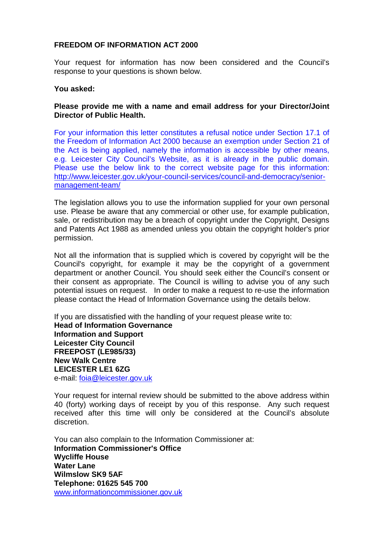## **FREEDOM OF INFORMATION ACT 2000**

Your request for information has now been considered and the Council's response to your questions is shown below.

## **You asked:**

## **Please provide me with a name and email address for your Director/Joint Director of Public Health.**

For your information this letter constitutes a refusal notice under Section 17.1 of the Freedom of Information Act 2000 because an exemption under Section 21 of the Act is being applied, namely the information is accessible by other means, e.g. Leicester City Council's Website, as it is already in the public domain. Please use the below link to the correct website page for this information: [http://www.leicester.gov.uk/your-council-services/council-and-democracy/senior](http://www.leicester.gov.uk/your-council-services/council-and-democracy/senior-management-team/)[management-team/](http://www.leicester.gov.uk/your-council-services/council-and-democracy/senior-management-team/)

The legislation allows you to use the information supplied for your own personal use. Please be aware that any commercial or other use, for example publication, sale, or redistribution may be a breach of copyright under the Copyright, Designs and Patents Act 1988 as amended unless you obtain the copyright holder's prior permission.

Not all the information that is supplied which is covered by copyright will be the Council's copyright, for example it may be the copyright of a government department or another Council. You should seek either the Council's consent or their consent as appropriate. The Council is willing to advise you of any such potential issues on request. In order to make a request to re-use the information please contact the Head of Information Governance using the details below.

If you are dissatisfied with the handling of your request please write to: **Head of Information Governance Information and Support Leicester City Council FREEPOST (LE985/33) New Walk Centre LEICESTER LE1 6ZG**  e-mail: [foia@leicester.gov.uk](mailto:foia@leicester.gov.uk) 

Your request for internal review should be submitted to the above address within 40 (forty) working days of receipt by you of this response. Any such request received after this time will only be considered at the Council's absolute discretion.

You can also complain to the Information Commissioner at: **Information Commissioner's Office Wycliffe House Water Lane Wilmslow SK9 5AF Telephone: 01625 545 700**  www.informationcommissioner.gov.uk